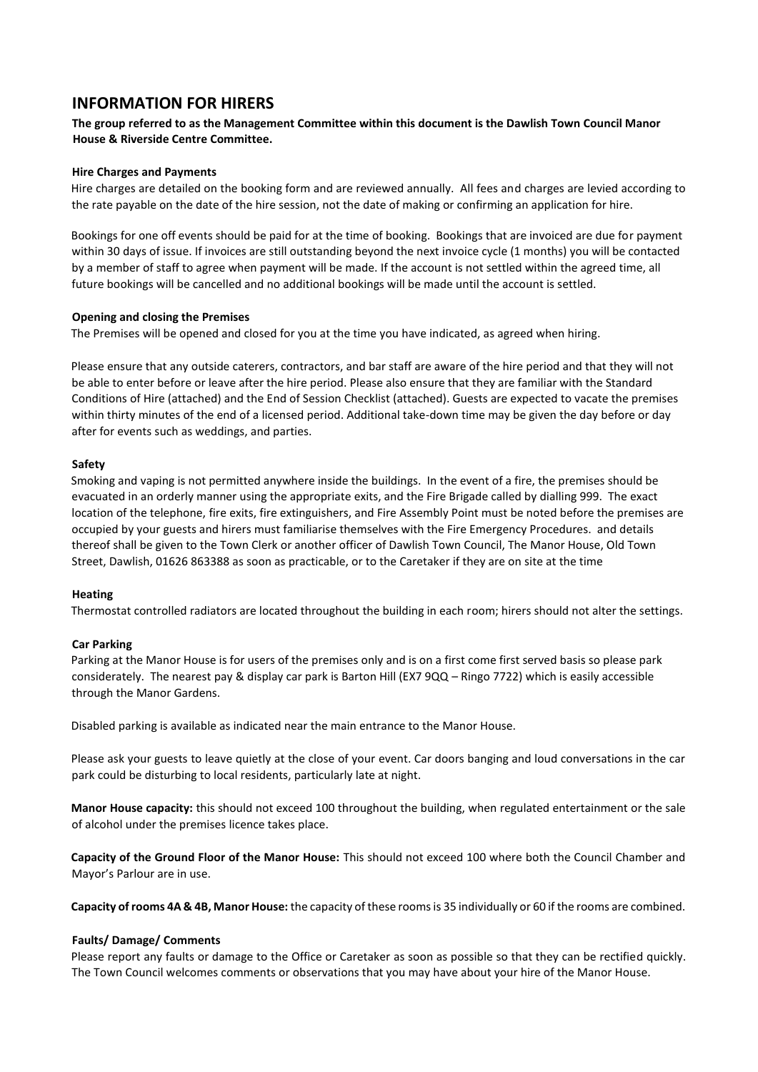### **INFORMATION FOR HIRERS**

#### **The group referred to as the Management Committee within this document is the Dawlish Town Council Manor House & Riverside Centre Committee.**

#### **Hire Charges and Payments**

Hire charges are detailed on the booking form and are reviewed annually. All fees and charges are levied according to the rate payable on the date of the hire session, not the date of making or confirming an application for hire.

Bookings for one off events should be paid for at the time of booking. Bookings that are invoiced are due for payment within 30 days of issue. If invoices are still outstanding beyond the next invoice cycle (1 months) you will be contacted by a member of staff to agree when payment will be made. If the account is not settled within the agreed time, all future bookings will be cancelled and no additional bookings will be made until the account is settled.

#### **Opening and closing the Premises**

The Premises will be opened and closed for you at the time you have indicated, as agreed when hiring.

Please ensure that any outside caterers, contractors, and bar staff are aware of the hire period and that they will not be able to enter before or leave after the hire period. Please also ensure that they are familiar with the Standard Conditions of Hire (attached) and the End of Session Checklist (attached). Guests are expected to vacate the premises within thirty minutes of the end of a licensed period. Additional take-down time may be given the day before or day after for events such as weddings, and parties.

#### **Safety**

Smoking and vaping is not permitted anywhere inside the buildings. In the event of a fire, the premises should be evacuated in an orderly manner using the appropriate exits, and the Fire Brigade called by dialling 999. The exact location of the telephone, fire exits, fire extinguishers, and Fire Assembly Point must be noted before the premises are occupied by your guests and hirers must familiarise themselves with the Fire Emergency Procedures. and details thereof shall be given to the Town Clerk or another officer of Dawlish Town Council, The Manor House, Old Town Street, Dawlish, 01626 863388 as soon as practicable, or to the Caretaker if they are on site at the time

#### **Heating**

Thermostat controlled radiators are located throughout the building in each room; hirers should not alter the settings.

#### **Car Parking**

Parking at the Manor House is for users of the premises only and is on a first come first served basis so please park considerately. The nearest pay & display car park is Barton Hill (EX7 9QQ – Ringo 7722) which is easily accessible through the Manor Gardens.

Disabled parking is available as indicated near the main entrance to the Manor House.

Please ask your guests to leave quietly at the close of your event. Car doors banging and loud conversations in the car park could be disturbing to local residents, particularly late at night.

**Manor House capacity:** this should not exceed 100 throughout the building, when regulated entertainment or the sale of alcohol under the premises licence takes place.

**Capacity of the Ground Floor of the Manor House:** This should not exceed 100 where both the Council Chamber and Mayor's Parlour are in use.

**Capacity of rooms 4A & 4B, Manor House:** the capacity of these rooms is 35 individually or 60 if the rooms are combined.

#### **Faults/ Damage/ Comments**

Please report any faults or damage to the Office or Caretaker as soon as possible so that they can be rectified quickly. The Town Council welcomes comments or observations that you may have about your hire of the Manor House.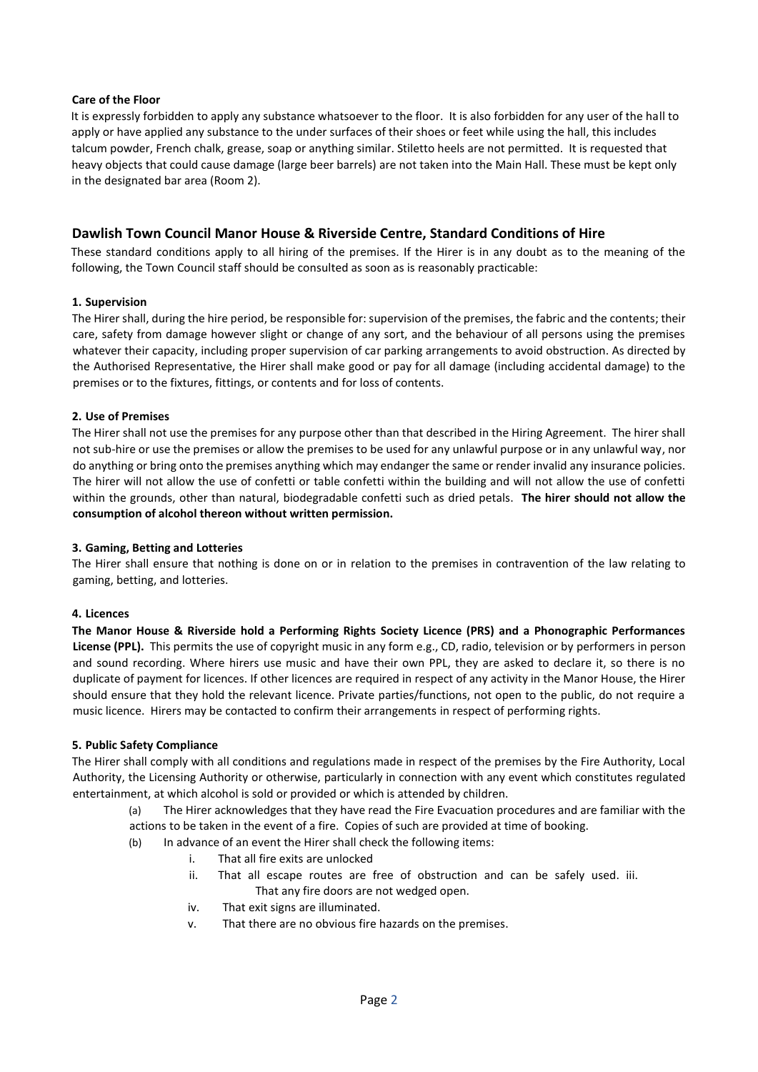#### **Care of the Floor**

It is expressly forbidden to apply any substance whatsoever to the floor. It is also forbidden for any user of the hall to apply or have applied any substance to the under surfaces of their shoes or feet while using the hall, this includes talcum powder, French chalk, grease, soap or anything similar. Stiletto heels are not permitted. It is requested that heavy objects that could cause damage (large beer barrels) are not taken into the Main Hall. These must be kept only in the designated bar area (Room 2).

### **Dawlish Town Council Manor House & Riverside Centre, Standard Conditions of Hire**

These standard conditions apply to all hiring of the premises. If the Hirer is in any doubt as to the meaning of the following, the Town Council staff should be consulted as soon as is reasonably practicable:

#### **1. Supervision**

The Hirer shall, during the hire period, be responsible for: supervision of the premises, the fabric and the contents; their care, safety from damage however slight or change of any sort, and the behaviour of all persons using the premises whatever their capacity, including proper supervision of car parking arrangements to avoid obstruction. As directed by the Authorised Representative, the Hirer shall make good or pay for all damage (including accidental damage) to the premises or to the fixtures, fittings, or contents and for loss of contents.

#### **2. Use of Premises**

The Hirer shall not use the premises for any purpose other than that described in the Hiring Agreement. The hirer shall not sub-hire or use the premises or allow the premises to be used for any unlawful purpose or in any unlawful way, nor do anything or bring onto the premises anything which may endanger the same or render invalid any insurance policies. The hirer will not allow the use of confetti or table confetti within the building and will not allow the use of confetti within the grounds, other than natural, biodegradable confetti such as dried petals. **The hirer should not allow the consumption of alcohol thereon without written permission.**

#### **3. Gaming, Betting and Lotteries**

The Hirer shall ensure that nothing is done on or in relation to the premises in contravention of the law relating to gaming, betting, and lotteries.

#### **4. Licences**

**The Manor House & Riverside hold a Performing Rights Society Licence (PRS) and a Phonographic Performances License (PPL).** This permits the use of copyright music in any form e.g., CD, radio, television or by performers in person and sound recording. Where hirers use music and have their own PPL, they are asked to declare it, so there is no duplicate of payment for licences. If other licences are required in respect of any activity in the Manor House, the Hirer should ensure that they hold the relevant licence. Private parties/functions, not open to the public, do not require a music licence. Hirers may be contacted to confirm their arrangements in respect of performing rights.

#### **5. Public Safety Compliance**

The Hirer shall comply with all conditions and regulations made in respect of the premises by the Fire Authority, Local Authority, the Licensing Authority or otherwise, particularly in connection with any event which constitutes regulated entertainment, at which alcohol is sold or provided or which is attended by children.

- (a) The Hirer acknowledges that they have read the Fire Evacuation procedures and are familiar with the actions to be taken in the event of a fire. Copies of such are provided at time of booking.
- (b) In advance of an event the Hirer shall check the following items:
	- i. That all fire exits are unlocked
	- ii. That all escape routes are free of obstruction and can be safely used. iii.
	- That any fire doors are not wedged open.
	- iv. That exit signs are illuminated.
	- v. That there are no obvious fire hazards on the premises.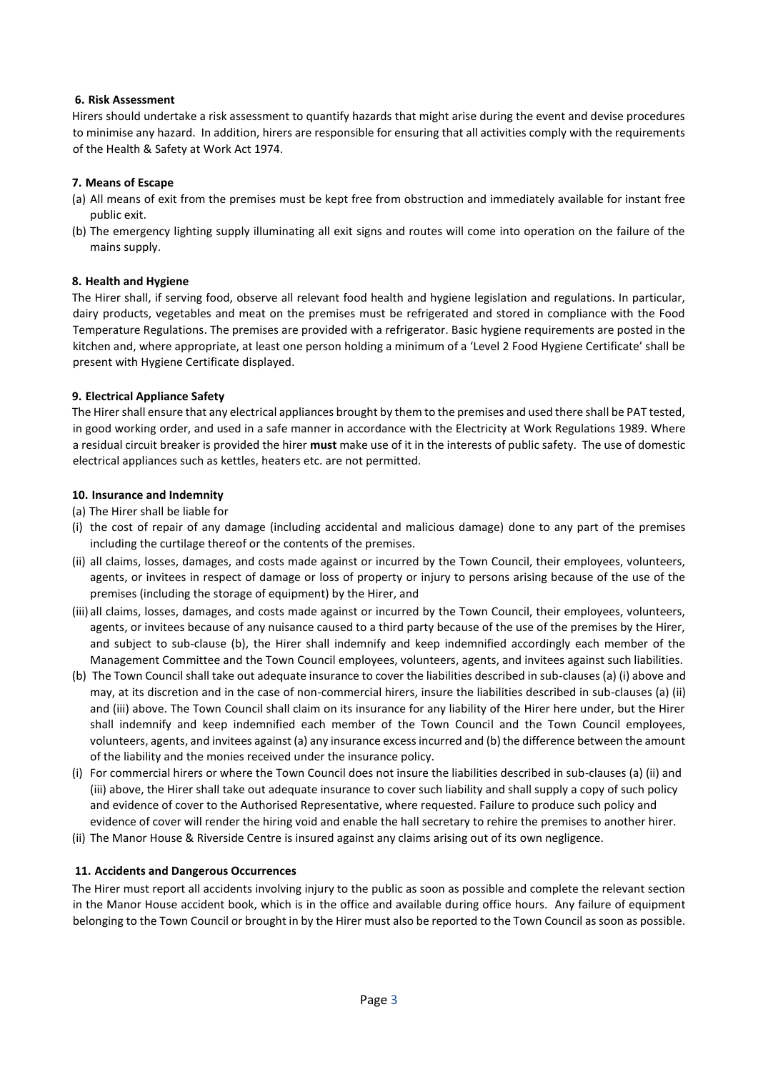#### **6. Risk Assessment**

Hirers should undertake a risk assessment to quantify hazards that might arise during the event and devise procedures to minimise any hazard. In addition, hirers are responsible for ensuring that all activities comply with the requirements of the Health & Safety at Work Act 1974.

#### **7. Means of Escape**

- (a) All means of exit from the premises must be kept free from obstruction and immediately available for instant free public exit.
- (b) The emergency lighting supply illuminating all exit signs and routes will come into operation on the failure of the mains supply.

#### **8. Health and Hygiene**

The Hirer shall, if serving food, observe all relevant food health and hygiene legislation and regulations. In particular, dairy products, vegetables and meat on the premises must be refrigerated and stored in compliance with the Food Temperature Regulations. The premises are provided with a refrigerator. Basic hygiene requirements are posted in the kitchen and, where appropriate, at least one person holding a minimum of a 'Level 2 Food Hygiene Certificate' shall be present with Hygiene Certificate displayed.

#### **9. Electrical Appliance Safety**

The Hirer shall ensure that any electrical appliances brought by them to the premises and used there shall be PAT tested, in good working order, and used in a safe manner in accordance with the Electricity at Work Regulations 1989. Where a residual circuit breaker is provided the hirer **must** make use of it in the interests of public safety. The use of domestic electrical appliances such as kettles, heaters etc. are not permitted.

#### **10. Insurance and Indemnity**

#### (a) The Hirer shall be liable for

- (i) the cost of repair of any damage (including accidental and malicious damage) done to any part of the premises including the curtilage thereof or the contents of the premises.
- (ii) all claims, losses, damages, and costs made against or incurred by the Town Council, their employees, volunteers, agents, or invitees in respect of damage or loss of property or injury to persons arising because of the use of the premises (including the storage of equipment) by the Hirer, and
- (iii) all claims, losses, damages, and costs made against or incurred by the Town Council, their employees, volunteers, agents, or invitees because of any nuisance caused to a third party because of the use of the premises by the Hirer, and subject to sub-clause (b), the Hirer shall indemnify and keep indemnified accordingly each member of the Management Committee and the Town Council employees, volunteers, agents, and invitees against such liabilities.
- (b) The Town Council shall take out adequate insurance to cover the liabilities described in sub-clauses (a) (i) above and may, at its discretion and in the case of non-commercial hirers, insure the liabilities described in sub-clauses (a) (ii) and (iii) above. The Town Council shall claim on its insurance for any liability of the Hirer here under, but the Hirer shall indemnify and keep indemnified each member of the Town Council and the Town Council employees, volunteers, agents, and invitees against (a) any insurance excess incurred and (b) the difference between the amount of the liability and the monies received under the insurance policy.
- (i) For commercial hirers or where the Town Council does not insure the liabilities described in sub-clauses (a) (ii) and (iii) above, the Hirer shall take out adequate insurance to cover such liability and shall supply a copy of such policy and evidence of cover to the Authorised Representative, where requested. Failure to produce such policy and evidence of cover will render the hiring void and enable the hall secretary to rehire the premises to another hirer.
- (ii) The Manor House & Riverside Centre is insured against any claims arising out of its own negligence.

#### **11. Accidents and Dangerous Occurrences**

The Hirer must report all accidents involving injury to the public as soon as possible and complete the relevant section in the Manor House accident book, which is in the office and available during office hours. Any failure of equipment belonging to the Town Council or brought in by the Hirer must also be reported to the Town Council as soon as possible.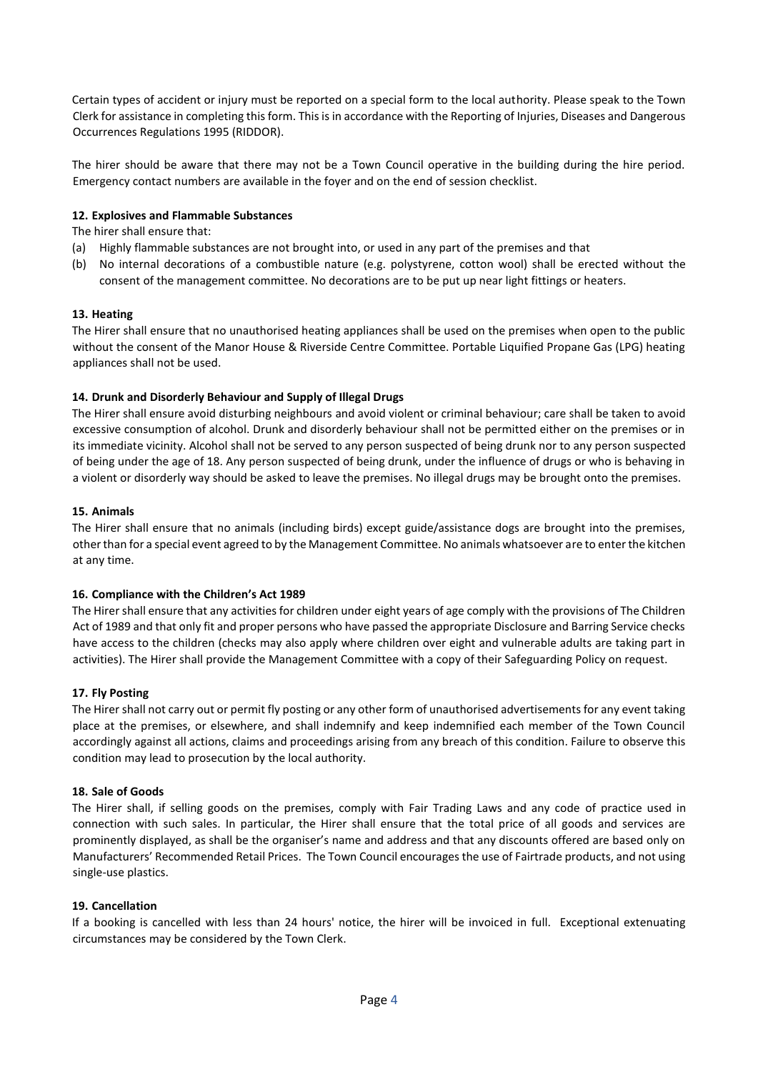Certain types of accident or injury must be reported on a special form to the local authority. Please speak to the Town Clerk for assistance in completing this form. This is in accordance with the Reporting of Injuries, Diseases and Dangerous Occurrences Regulations 1995 (RIDDOR).

The hirer should be aware that there may not be a Town Council operative in the building during the hire period. Emergency contact numbers are available in the foyer and on the end of session checklist.

#### **12. Explosives and Flammable Substances**

The hirer shall ensure that:

- (a) Highly flammable substances are not brought into, or used in any part of the premises and that
- (b) No internal decorations of a combustible nature (e.g. polystyrene, cotton wool) shall be erected without the consent of the management committee. No decorations are to be put up near light fittings or heaters.

#### **13. Heating**

The Hirer shall ensure that no unauthorised heating appliances shall be used on the premises when open to the public without the consent of the Manor House & Riverside Centre Committee. Portable Liquified Propane Gas (LPG) heating appliances shall not be used.

#### **14. Drunk and Disorderly Behaviour and Supply of Illegal Drugs**

The Hirer shall ensure avoid disturbing neighbours and avoid violent or criminal behaviour; care shall be taken to avoid excessive consumption of alcohol. Drunk and disorderly behaviour shall not be permitted either on the premises or in its immediate vicinity. Alcohol shall not be served to any person suspected of being drunk nor to any person suspected of being under the age of 18. Any person suspected of being drunk, under the influence of drugs or who is behaving in a violent or disorderly way should be asked to leave the premises. No illegal drugs may be brought onto the premises.

#### **15. Animals**

The Hirer shall ensure that no animals (including birds) except guide/assistance dogs are brought into the premises, other than for a special event agreed to by the Management Committee. No animals whatsoever are to enter the kitchen at any time.

#### **16. Compliance with the Children's Act 1989**

The Hirer shall ensure that any activities for children under eight years of age comply with the provisions of The Children Act of 1989 and that only fit and proper persons who have passed the appropriate Disclosure and Barring Service checks have access to the children (checks may also apply where children over eight and vulnerable adults are taking part in activities). The Hirer shall provide the Management Committee with a copy of their Safeguarding Policy on request.

#### **17. Fly Posting**

The Hirer shall not carry out or permit fly posting or any other form of unauthorised advertisements for any event taking place at the premises, or elsewhere, and shall indemnify and keep indemnified each member of the Town Council accordingly against all actions, claims and proceedings arising from any breach of this condition. Failure to observe this condition may lead to prosecution by the local authority.

#### **18. Sale of Goods**

The Hirer shall, if selling goods on the premises, comply with Fair Trading Laws and any code of practice used in connection with such sales. In particular, the Hirer shall ensure that the total price of all goods and services are prominently displayed, as shall be the organiser's name and address and that any discounts offered are based only on Manufacturers' Recommended Retail Prices. The Town Council encourages the use of Fairtrade products, and not using single-use plastics.

#### **19. Cancellation**

If a booking is cancelled with less than 24 hours' notice, the hirer will be invoiced in full. Exceptional extenuating circumstances may be considered by the Town Clerk.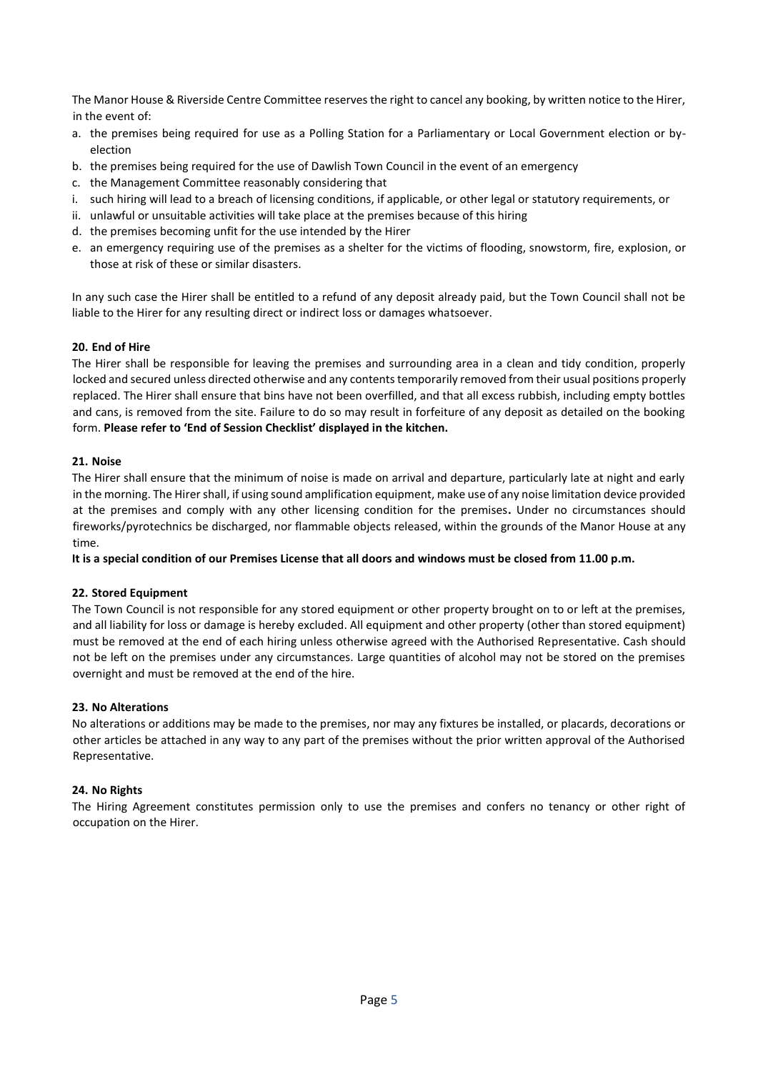The Manor House & Riverside Centre Committee reserves the right to cancel any booking, by written notice to the Hirer, in the event of:

- a. the premises being required for use as a Polling Station for a Parliamentary or Local Government election or byelection
- b. the premises being required for the use of Dawlish Town Council in the event of an emergency
- c. the Management Committee reasonably considering that
- i. such hiring will lead to a breach of licensing conditions, if applicable, or other legal or statutory requirements, or
- ii. unlawful or unsuitable activities will take place at the premises because of this hiring
- d. the premises becoming unfit for the use intended by the Hirer
- e. an emergency requiring use of the premises as a shelter for the victims of flooding, snowstorm, fire, explosion, or those at risk of these or similar disasters.

In any such case the Hirer shall be entitled to a refund of any deposit already paid, but the Town Council shall not be liable to the Hirer for any resulting direct or indirect loss or damages whatsoever.

#### **20. End of Hire**

The Hirer shall be responsible for leaving the premises and surrounding area in a clean and tidy condition, properly locked and secured unless directed otherwise and any contents temporarily removed from their usual positions properly replaced. The Hirer shall ensure that bins have not been overfilled, and that all excess rubbish, including empty bottles and cans, is removed from the site. Failure to do so may result in forfeiture of any deposit as detailed on the booking form. **Please refer to 'End of Session Checklist' displayed in the kitchen.** 

#### **21. Noise**

The Hirer shall ensure that the minimum of noise is made on arrival and departure, particularly late at night and early in the morning. The Hirer shall, if using sound amplification equipment, make use of any noise limitation device provided at the premises and comply with any other licensing condition for the premises**.** Under no circumstances should fireworks/pyrotechnics be discharged, nor flammable objects released, within the grounds of the Manor House at any time.

**It is a special condition of our Premises License that all doors and windows must be closed from 11.00 p.m.** 

#### **22. Stored Equipment**

The Town Council is not responsible for any stored equipment or other property brought on to or left at the premises, and all liability for loss or damage is hereby excluded. All equipment and other property (other than stored equipment) must be removed at the end of each hiring unless otherwise agreed with the Authorised Representative. Cash should not be left on the premises under any circumstances. Large quantities of alcohol may not be stored on the premises overnight and must be removed at the end of the hire.

#### **23. No Alterations**

No alterations or additions may be made to the premises, nor may any fixtures be installed, or placards, decorations or other articles be attached in any way to any part of the premises without the prior written approval of the Authorised Representative.

#### **24. No Rights**

The Hiring Agreement constitutes permission only to use the premises and confers no tenancy or other right of occupation on the Hirer.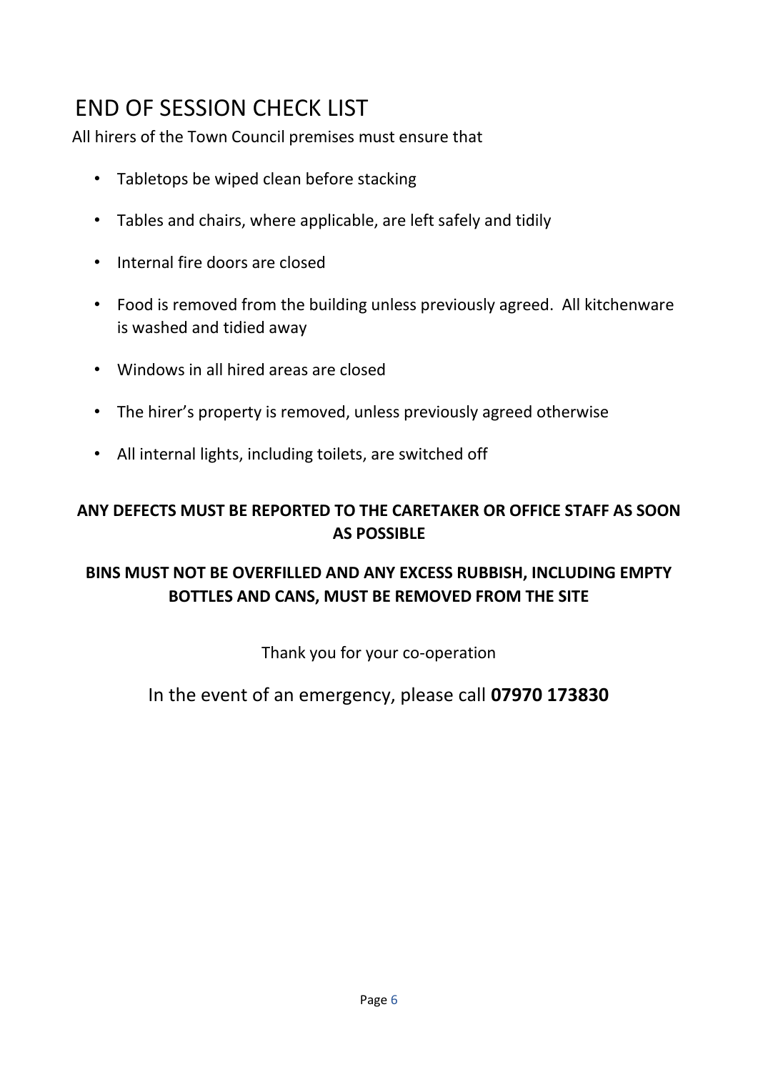# END OF SESSION CHECK LIST

All hirers of the Town Council premises must ensure that

- Tabletops be wiped clean before stacking
- Tables and chairs, where applicable, are left safely and tidily
- Internal fire doors are closed
- Food is removed from the building unless previously agreed. All kitchenware is washed and tidied away
- Windows in all hired areas are closed
- The hirer's property is removed, unless previously agreed otherwise
- All internal lights, including toilets, are switched off

### **ANY DEFECTS MUST BE REPORTED TO THE CARETAKER OR OFFICE STAFF AS SOON AS POSSIBLE**

## **BINS MUST NOT BE OVERFILLED AND ANY EXCESS RUBBISH, INCLUDING EMPTY BOTTLES AND CANS, MUST BE REMOVED FROM THE SITE**

Thank you for your co-operation

## In the event of an emergency, please call **07970 173830**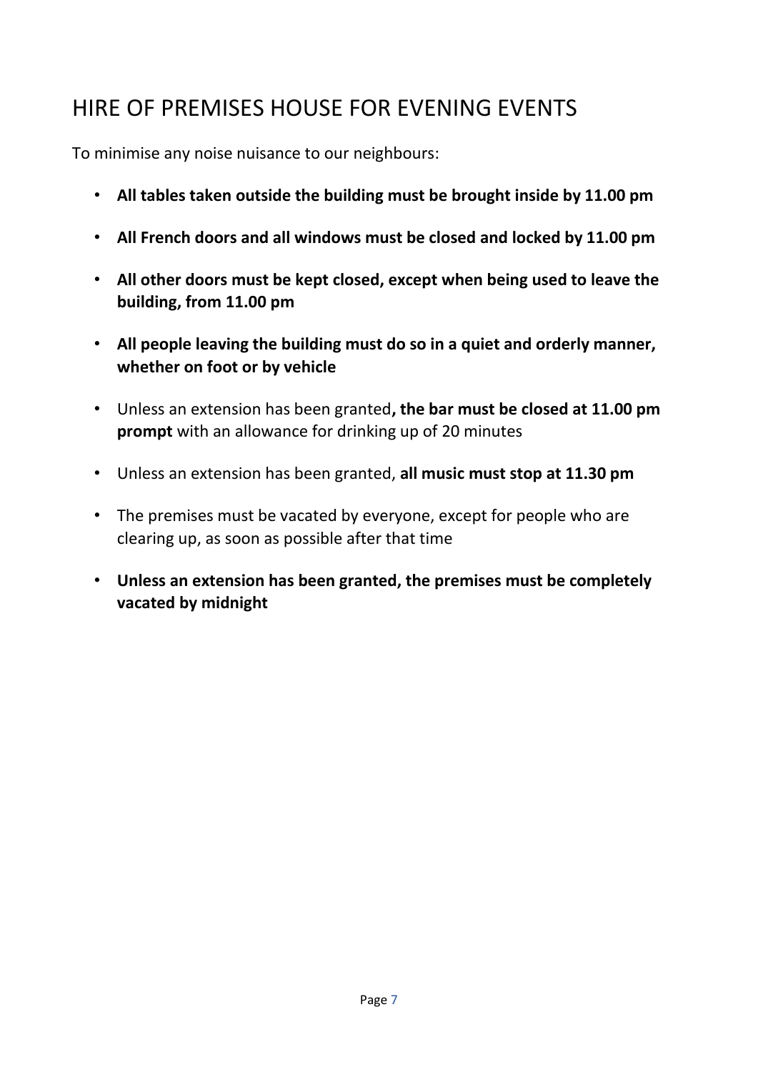# HIRE OF PREMISES HOUSE FOR EVENING EVENTS

To minimise any noise nuisance to our neighbours:

- **All tables taken outside the building must be brought inside by 11.00 pm**
- **All French doors and all windows must be closed and locked by 11.00 pm**
- **All other doors must be kept closed, except when being used to leave the building, from 11.00 pm**
- **All people leaving the building must do so in a quiet and orderly manner, whether on foot or by vehicle**
- Unless an extension has been granted**, the bar must be closed at 11.00 pm prompt** with an allowance for drinking up of 20 minutes
- Unless an extension has been granted, **all music must stop at 11.30 pm**
- The premises must be vacated by everyone, except for people who are clearing up, as soon as possible after that time
- **Unless an extension has been granted, the premises must be completely vacated by midnight**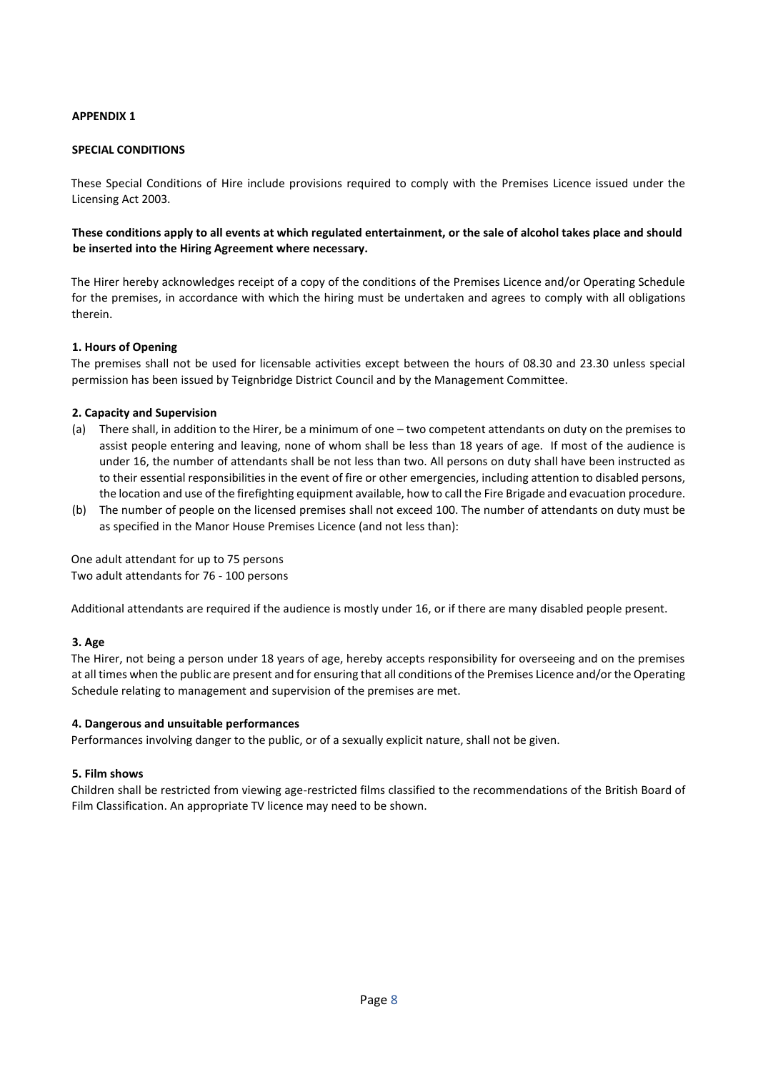#### **APPENDIX 1**

#### **SPECIAL CONDITIONS**

These Special Conditions of Hire include provisions required to comply with the Premises Licence issued under the Licensing Act 2003.

#### **These conditions apply to all events at which regulated entertainment, or the sale of alcohol takes place and should be inserted into the Hiring Agreement where necessary.**

The Hirer hereby acknowledges receipt of a copy of the conditions of the Premises Licence and/or Operating Schedule for the premises, in accordance with which the hiring must be undertaken and agrees to comply with all obligations therein.

#### **1. Hours of Opening**

The premises shall not be used for licensable activities except between the hours of 08.30 and 23.30 unless special permission has been issued by Teignbridge District Council and by the Management Committee.

#### **2. Capacity and Supervision**

- (a) There shall, in addition to the Hirer, be a minimum of one two competent attendants on duty on the premises to assist people entering and leaving, none of whom shall be less than 18 years of age. If most of the audience is under 16, the number of attendants shall be not less than two. All persons on duty shall have been instructed as to their essential responsibilities in the event of fire or other emergencies, including attention to disabled persons, the location and use of the firefighting equipment available, how to call the Fire Brigade and evacuation procedure.
- (b) The number of people on the licensed premises shall not exceed 100. The number of attendants on duty must be as specified in the Manor House Premises Licence (and not less than):

One adult attendant for up to 75 persons Two adult attendants for 76 - 100 persons

Additional attendants are required if the audience is mostly under 16, or if there are many disabled people present.

#### **3. Age**

The Hirer, not being a person under 18 years of age, hereby accepts responsibility for overseeing and on the premises at all times when the public are present and for ensuring that all conditions of the Premises Licence and/or the Operating Schedule relating to management and supervision of the premises are met.

#### **4. Dangerous and unsuitable performances**

Performances involving danger to the public, or of a sexually explicit nature, shall not be given.

#### **5. Film shows**

Children shall be restricted from viewing age-restricted films classified to the recommendations of the British Board of Film Classification. An appropriate TV licence may need to be shown.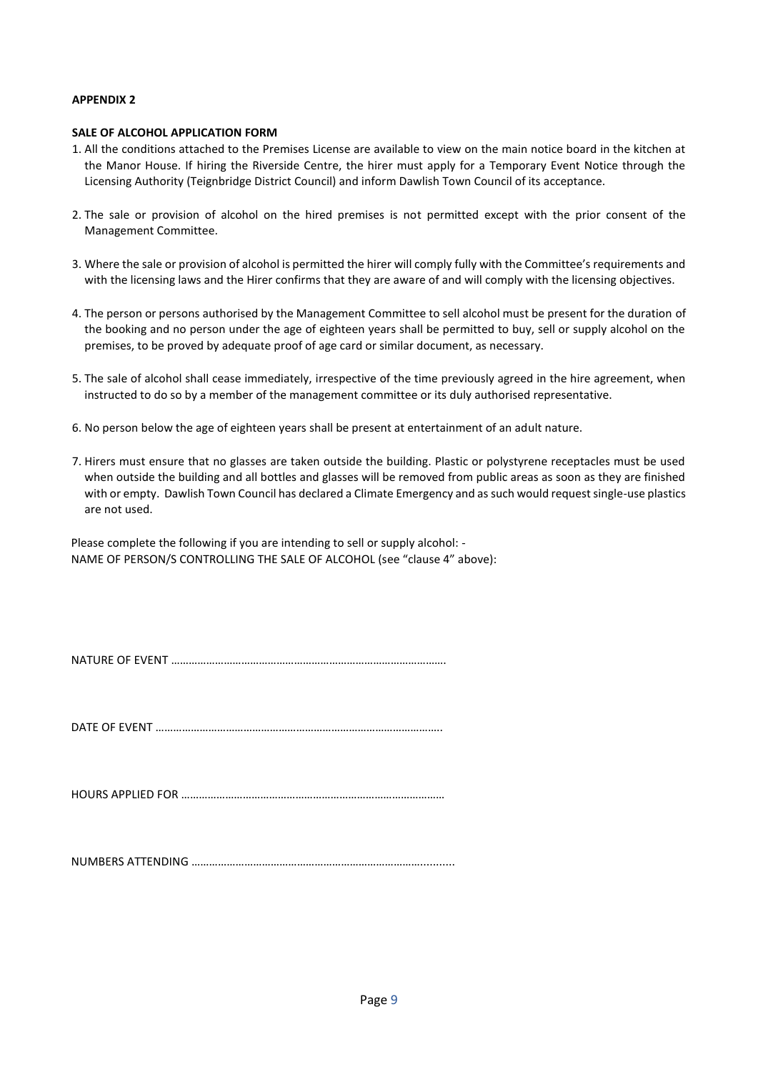#### **APPENDIX 2**

#### **SALE OF ALCOHOL APPLICATION FORM**

- 1. All the conditions attached to the Premises License are available to view on the main notice board in the kitchen at the Manor House. If hiring the Riverside Centre, the hirer must apply for a Temporary Event Notice through the Licensing Authority (Teignbridge District Council) and inform Dawlish Town Council of its acceptance.
- 2. The sale or provision of alcohol on the hired premises is not permitted except with the prior consent of the Management Committee.
- 3. Where the sale or provision of alcohol is permitted the hirer will comply fully with the Committee's requirements and with the licensing laws and the Hirer confirms that they are aware of and will comply with the licensing objectives.
- 4. The person or persons authorised by the Management Committee to sell alcohol must be present for the duration of the booking and no person under the age of eighteen years shall be permitted to buy, sell or supply alcohol on the premises, to be proved by adequate proof of age card or similar document, as necessary.
- 5. The sale of alcohol shall cease immediately, irrespective of the time previously agreed in the hire agreement, when instructed to do so by a member of the management committee or its duly authorised representative.
- 6. No person below the age of eighteen years shall be present at entertainment of an adult nature.
- 7. Hirers must ensure that no glasses are taken outside the building. Plastic or polystyrene receptacles must be used when outside the building and all bottles and glasses will be removed from public areas as soon as they are finished with or empty. Dawlish Town Council has declared a Climate Emergency and as such would request single-use plastics are not used.

Please complete the following if you are intending to sell or supply alcohol: - NAME OF PERSON/S CONTROLLING THE SALE OF ALCOHOL (see "clause 4" above):

NATURE OF EVENT ………………………………………………………………………………….

DATE OF EVENT ……………………………………………………………………………………..

HOURS APPLIED FOR ………………………………………………………………………………

NUMBERS ATTENDING ……………………………………………………………………...........